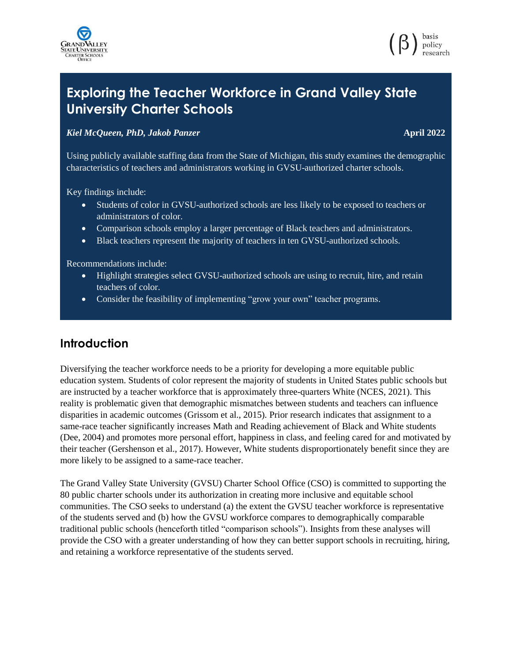



# **Exploring the Teacher Workforce in Grand Valley State University Charter Schools**

#### *Kiel McQueen, PhD, Jakob Panzer* **April 2022**

Using publicly available staffing data from the State of Michigan, this study examines the demographic characteristics of teachers and administrators working in GVSU-authorized charter schools.

Key findings include:

- Students of color in GVSU-authorized schools are less likely to be exposed to teachers or administrators of color.
- Comparison schools employ a larger percentage of Black teachers and administrators.
- Black teachers represent the majority of teachers in ten GVSU-authorized schools.

Recommendations include:

- Highlight strategies select GVSU-authorized schools are using to recruit, hire, and retain teachers of color.
- Consider the feasibility of implementing "grow your own" teacher programs.

# **Introduction**

Diversifying the teacher workforce needs to be a priority for developing a more equitable public education system. Students of color represent the majority of students in United States public schools but are instructed by a teacher workforce that is approximately three-quarters White (NCES, 2021). This reality is problematic given that demographic mismatches between students and teachers can influence disparities in academic outcomes (Grissom et al., 2015). Prior research indicates that assignment to a same-race teacher significantly increases Math and Reading achievement of Black and White students (Dee, 2004) and promotes more personal effort, happiness in class, and feeling cared for and motivated by their teacher (Gershenson et al., 2017). However, White students disproportionately benefit since they are more likely to be assigned to a same-race teacher.

The Grand Valley State University (GVSU) Charter School Office (CSO) is committed to supporting the 80 public charter schools under its authorization in creating more inclusive and equitable school communities. The CSO seeks to understand (a) the extent the GVSU teacher workforce is representative of the students served and (b) how the GVSU workforce compares to demographically comparable traditional public schools (henceforth titled "comparison schools"). Insights from these analyses will provide the CSO with a greater understanding of how they can better support schools in recruiting, hiring, and retaining a workforce representative of the students served.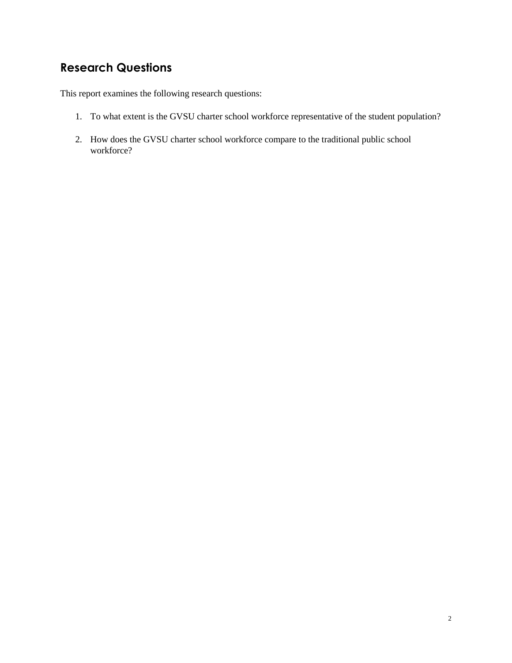# **Research Questions**

This report examines the following research questions:

- 1. To what extent is the GVSU charter school workforce representative of the student population?
- 2. How does the GVSU charter school workforce compare to the traditional public school workforce?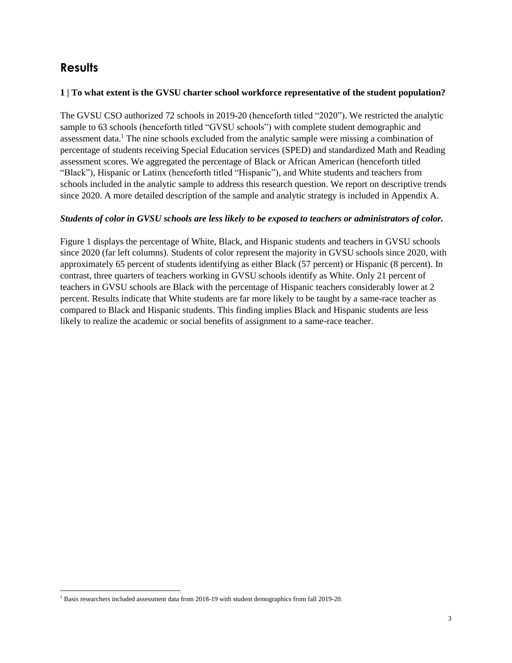# **Results**

l

#### **1 | To what extent is the GVSU charter school workforce representative of the student population?**

The GVSU CSO authorized 72 schools in 2019-20 (henceforth titled "2020"). We restricted the analytic sample to 63 schools (henceforth titled "GVSU schools") with complete student demographic and assessment data.<sup>1</sup> The nine schools excluded from the analytic sample were missing a combination of percentage of students receiving Special Education services (SPED) and standardized Math and Reading assessment scores. We aggregated the percentage of Black or African American (henceforth titled "Black"), Hispanic or Latinx (henceforth titled "Hispanic"), and White students and teachers from schools included in the analytic sample to address this research question. We report on descriptive trends since 2020. A more detailed description of the sample and analytic strategy is included in Appendix A.

### *Students of color in GVSU schools are less likely to be exposed to teachers or administrators of color.*

Figure 1 displays the percentage of White, Black, and Hispanic students and teachers in GVSU schools since 2020 (far left columns). Students of color represent the majority in GVSU schools since 2020, with approximately 65 percent of students identifying as either Black (57 percent) or Hispanic (8 percent). In contrast, three quarters of teachers working in GVSU schools identify as White. Only 21 percent of teachers in GVSU schools are Black with the percentage of Hispanic teachers considerably lower at 2 percent. Results indicate that White students are far more likely to be taught by a same-race teacher as compared to Black and Hispanic students. This finding implies Black and Hispanic students are less likely to realize the academic or social benefits of assignment to a same-race teacher.

<sup>1</sup> Basis researchers included assessment data from 2018-19 with student demographics from fall 2019-20.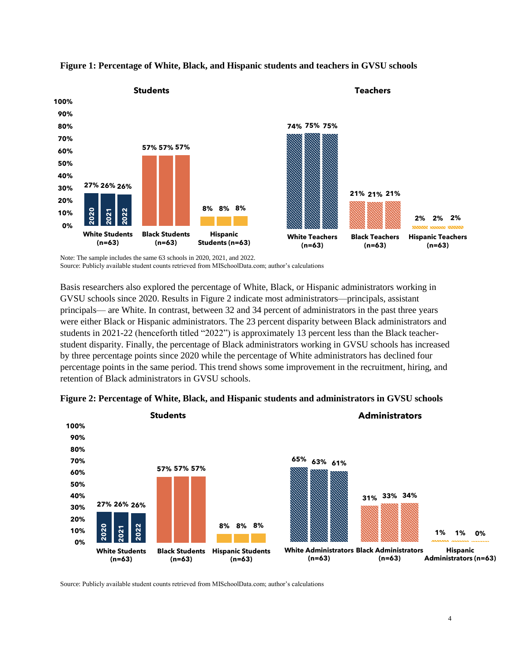



Note: The sample includes the same 63 schools in 2020, 2021, and 2022. Source: Publicly available student counts retrieved from MISchoolData.com; author's calculations

Basis researchers also explored the percentage of White, Black, or Hispanic administrators working in GVSU schools since 2020. Results in Figure 2 indicate most administrators—principals, assistant principals— are White. In contrast, between 32 and 34 percent of administrators in the past three years were either Black or Hispanic administrators. The 23 percent disparity between Black administrators and students in 2021-22 (henceforth titled "2022") is approximately 13 percent less than the Black teacherstudent disparity. Finally, the percentage of Black administrators working in GVSU schools has increased by three percentage points since 2020 while the percentage of White administrators has declined four percentage points in the same period. This trend shows some improvement in the recruitment, hiring, and retention of Black administrators in GVSU schools.



#### **Figure 2: Percentage of White, Black, and Hispanic students and administrators in GVSU schools**

Source: Publicly available student counts retrieved from MISchoolData.com; author's calculations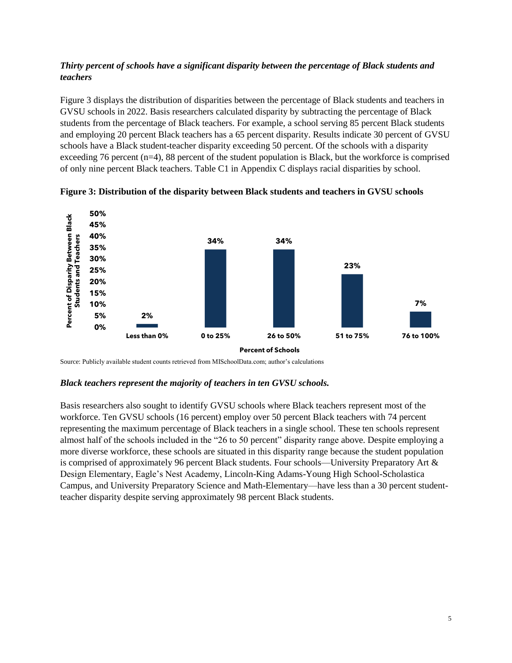## *Thirty percent of schools have a significant disparity between the percentage of Black students and teachers*

Figure 3 displays the distribution of disparities between the percentage of Black students and teachers in GVSU schools in 2022. Basis researchers calculated disparity by subtracting the percentage of Black students from the percentage of Black teachers. For example, a school serving 85 percent Black students and employing 20 percent Black teachers has a 65 percent disparity. Results indicate 30 percent of GVSU schools have a Black student-teacher disparity exceeding 50 percent. Of the schools with a disparity exceeding 76 percent  $(n=4)$ , 88 percent of the student population is Black, but the workforce is comprised of only nine percent Black teachers. Table C1 in Appendix C displays racial disparities by school.



**Figure 3: Distribution of the disparity between Black students and teachers in GVSU schools** 

Source: Publicly available student counts retrieved from MISchoolData.com; author's calculations

#### *Black teachers represent the majority of teachers in ten GVSU schools.*

Basis researchers also sought to identify GVSU schools where Black teachers represent most of the workforce. Ten GVSU schools (16 percent) employ over 50 percent Black teachers with 74 percent representing the maximum percentage of Black teachers in a single school. These ten schools represent almost half of the schools included in the "26 to 50 percent" disparity range above. Despite employing a more diverse workforce, these schools are situated in this disparity range because the student population is comprised of approximately 96 percent Black students. Four schools—University Preparatory Art & Design Elementary, Eagle's Nest Academy, Lincoln-King Adams-Young High School-Scholastica Campus, and University Preparatory Science and Math-Elementary—have less than a 30 percent studentteacher disparity despite serving approximately 98 percent Black students.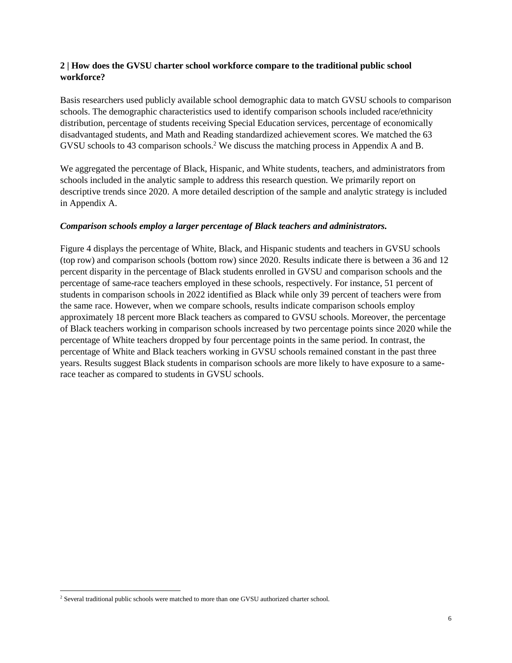### **2 | How does the GVSU charter school workforce compare to the traditional public school workforce?**

Basis researchers used publicly available school demographic data to match GVSU schools to comparison schools. The demographic characteristics used to identify comparison schools included race/ethnicity distribution, percentage of students receiving Special Education services, percentage of economically disadvantaged students, and Math and Reading standardized achievement scores. We matched the 63 GVSU schools to 43 comparison schools. <sup>2</sup> We discuss the matching process in Appendix A and B.

We aggregated the percentage of Black, Hispanic, and White students, teachers, and administrators from schools included in the analytic sample to address this research question. We primarily report on descriptive trends since 2020. A more detailed description of the sample and analytic strategy is included in Appendix A.

#### *Comparison schools employ a larger percentage of Black teachers and administrators.*

Figure 4 displays the percentage of White, Black, and Hispanic students and teachers in GVSU schools (top row) and comparison schools (bottom row) since 2020. Results indicate there is between a 36 and 12 percent disparity in the percentage of Black students enrolled in GVSU and comparison schools and the percentage of same-race teachers employed in these schools, respectively. For instance, 51 percent of students in comparison schools in 2022 identified as Black while only 39 percent of teachers were from the same race. However, when we compare schools, results indicate comparison schools employ approximately 18 percent more Black teachers as compared to GVSU schools. Moreover, the percentage of Black teachers working in comparison schools increased by two percentage points since 2020 while the percentage of White teachers dropped by four percentage points in the same period. In contrast, the percentage of White and Black teachers working in GVSU schools remained constant in the past three years. Results suggest Black students in comparison schools are more likely to have exposure to a samerace teacher as compared to students in GVSU schools.

l

<sup>&</sup>lt;sup>2</sup> Several traditional public schools were matched to more than one GVSU authorized charter school.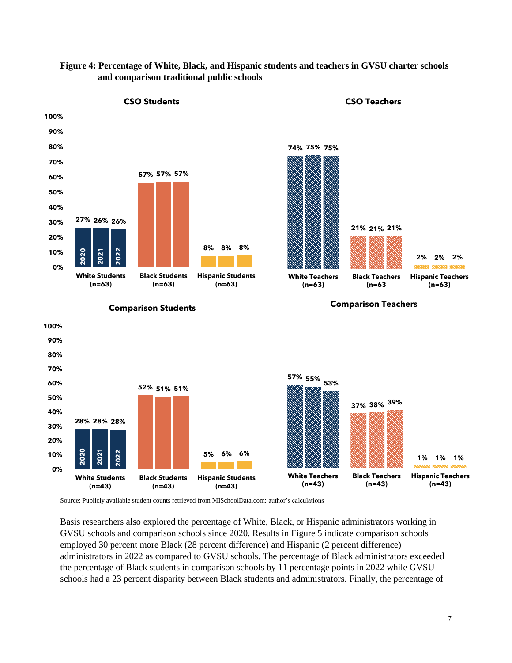

### **Figure 4: Percentage of White, Black, and Hispanic students and teachers in GVSU charter schools and comparison traditional public schools**

Source: Publicly available student counts retrieved from MISchoolData.com; author's calculations

Basis researchers also explored the percentage of White, Black, or Hispanic administrators working in GVSU schools and comparison schools since 2020. Results in Figure 5 indicate comparison schools employed 30 percent more Black (28 percent difference) and Hispanic (2 percent difference) administrators in 2022 as compared to GVSU schools. The percentage of Black administrators exceeded the percentage of Black students in comparison schools by 11 percentage points in 2022 while GVSU schools had a 23 percent disparity between Black students and administrators. Finally, the percentage of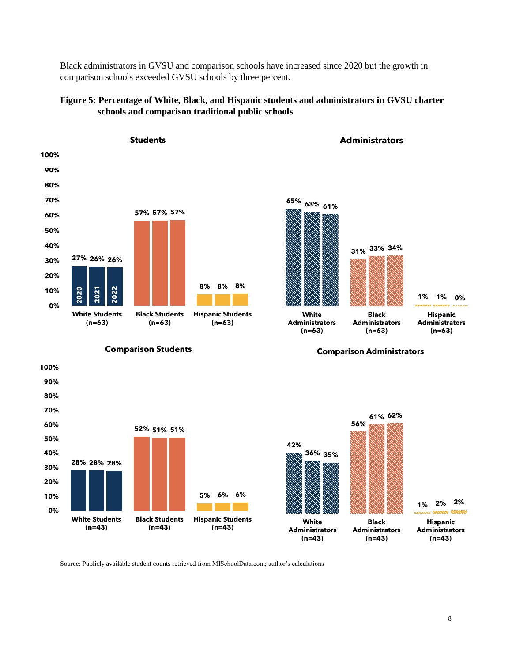Black administrators in GVSU and comparison schools have increased since 2020 but the growth in comparison schools exceeded GVSU schools by three percent.

#### **Figure 5: Percentage of White, Black, and Hispanic students and administrators in GVSU charter schools and comparison traditional public schools**



**Comparison Students**

**90% 100%**



**Administrators**

**Comparison Administrators**



Source: Publicly available student counts retrieved from MISchoolData.com; author's calculations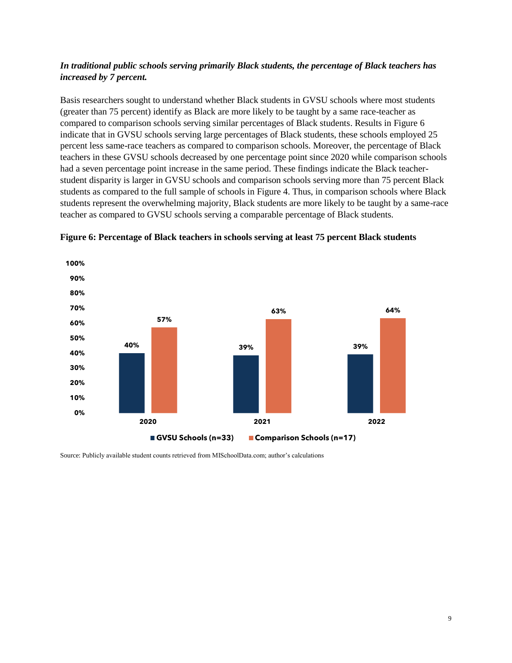## *In traditional public schools serving primarily Black students, the percentage of Black teachers has increased by 7 percent.*

Basis researchers sought to understand whether Black students in GVSU schools where most students (greater than 75 percent) identify as Black are more likely to be taught by a same race-teacher as compared to comparison schools serving similar percentages of Black students. Results in Figure 6 indicate that in GVSU schools serving large percentages of Black students, these schools employed 25 percent less same-race teachers as compared to comparison schools. Moreover, the percentage of Black teachers in these GVSU schools decreased by one percentage point since 2020 while comparison schools had a seven percentage point increase in the same period. These findings indicate the Black teacherstudent disparity is larger in GVSU schools and comparison schools serving more than 75 percent Black students as compared to the full sample of schools in Figure 4. Thus, in comparison schools where Black students represent the overwhelming majority, Black students are more likely to be taught by a same-race teacher as compared to GVSU schools serving a comparable percentage of Black students.



**Figure 6: Percentage of Black teachers in schools serving at least 75 percent Black students** 

Source: Publicly available student counts retrieved from MISchoolData.com; author's calculations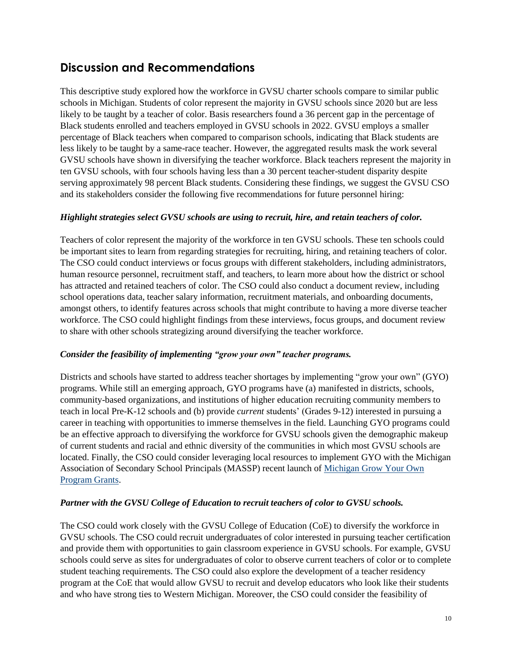# **Discussion and Recommendations**

This descriptive study explored how the workforce in GVSU charter schools compare to similar public schools in Michigan. Students of color represent the majority in GVSU schools since 2020 but are less likely to be taught by a teacher of color. Basis researchers found a 36 percent gap in the percentage of Black students enrolled and teachers employed in GVSU schools in 2022. GVSU employs a smaller percentage of Black teachers when compared to comparison schools, indicating that Black students are less likely to be taught by a same-race teacher. However, the aggregated results mask the work several GVSU schools have shown in diversifying the teacher workforce. Black teachers represent the majority in ten GVSU schools, with four schools having less than a 30 percent teacher-student disparity despite serving approximately 98 percent Black students. Considering these findings, we suggest the GVSU CSO and its stakeholders consider the following five recommendations for future personnel hiring:

#### *Highlight strategies select GVSU schools are using to recruit, hire, and retain teachers of color.*

Teachers of color represent the majority of the workforce in ten GVSU schools. These ten schools could be important sites to learn from regarding strategies for recruiting, hiring, and retaining teachers of color. The CSO could conduct interviews or focus groups with different stakeholders, including administrators, human resource personnel, recruitment staff, and teachers, to learn more about how the district or school has attracted and retained teachers of color. The CSO could also conduct a document review, including school operations data, teacher salary information, recruitment materials, and onboarding documents, amongst others, to identify features across schools that might contribute to having a more diverse teacher workforce. The CSO could highlight findings from these interviews, focus groups, and document review to share with other schools strategizing around diversifying the teacher workforce.

#### *Consider the feasibility of implementing "grow your own" teacher programs.*

Districts and schools have started to address teacher shortages by implementing "grow your own" (GYO) programs. While still an emerging approach, GYO programs have (a) manifested in districts, schools, community-based organizations, and institutions of higher education recruiting community members to teach in local Pre-K-12 schools and (b) provide *current* students' (Grades 9-12) interested in pursuing a career in teaching with opportunities to immerse themselves in the field. Launching GYO programs could be an effective approach to diversifying the workforce for GVSU schools given the demographic makeup of current students and racial and ethnic diversity of the communities in which most GVSU schools are located. Finally, the CSO could consider leveraging local resources to implement GYO with the Michigan Association of Secondary School Principals (MASSP) recent launch of [Michigan Grow Your Own](https://massp.com/news/michigan-grow-your-own-program-grants#:~:text=One%20grant%20addresses%20current%20staff,visits%20to%20educator%20preparation%20programs.)  [Program Grants.](https://massp.com/news/michigan-grow-your-own-program-grants#:~:text=One%20grant%20addresses%20current%20staff,visits%20to%20educator%20preparation%20programs.)

#### *Partner with the GVSU College of Education to recruit teachers of color to GVSU schools.*

The CSO could work closely with the GVSU College of Education (CoE) to diversify the workforce in GVSU schools. The CSO could recruit undergraduates of color interested in pursuing teacher certification and provide them with opportunities to gain classroom experience in GVSU schools. For example, GVSU schools could serve as sites for undergraduates of color to observe current teachers of color or to complete student teaching requirements. The CSO could also explore the development of a teacher residency program at the CoE that would allow GVSU to recruit and develop educators who look like their students and who have strong ties to Western Michigan. Moreover, the CSO could consider the feasibility of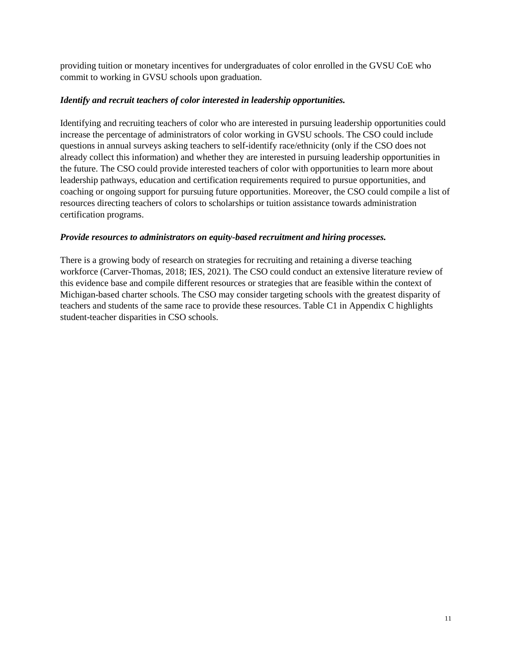providing tuition or monetary incentives for undergraduates of color enrolled in the GVSU CoE who commit to working in GVSU schools upon graduation.

#### *Identify and recruit teachers of color interested in leadership opportunities.*

Identifying and recruiting teachers of color who are interested in pursuing leadership opportunities could increase the percentage of administrators of color working in GVSU schools. The CSO could include questions in annual surveys asking teachers to self-identify race/ethnicity (only if the CSO does not already collect this information) and whether they are interested in pursuing leadership opportunities in the future. The CSO could provide interested teachers of color with opportunities to learn more about leadership pathways, education and certification requirements required to pursue opportunities, and coaching or ongoing support for pursuing future opportunities. Moreover, the CSO could compile a list of resources directing teachers of colors to scholarships or tuition assistance towards administration certification programs.

#### *Provide resources to administrators on equity-based recruitment and hiring processes.*

There is a growing body of research on strategies for recruiting and retaining a diverse teaching workforce (Carver-Thomas, 2018; IES, 2021). The CSO could conduct an extensive literature review of this evidence base and compile different resources or strategies that are feasible within the context of Michigan-based charter schools. The CSO may consider targeting schools with the greatest disparity of teachers and students of the same race to provide these resources. Table C1 in Appendix C highlights student-teacher disparities in CSO schools.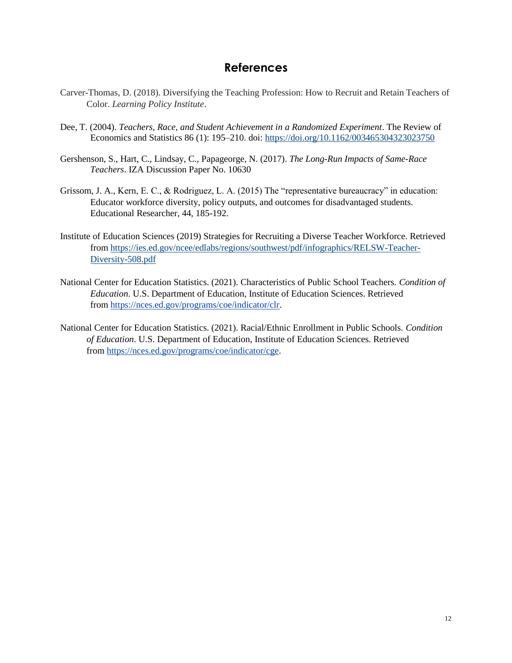# **References**

- Carver-Thomas, D. (2018). Diversifying the Teaching Profession: How to Recruit and Retain Teachers of Color. *Learning Policy Institute*.
- Dee, T. (2004). *Teachers, Race, and Student Achievement in a Randomized Experiment*. The Review of Economics and Statistics 86 (1): 195–210. doi:<https://doi.org/10.1162/003465304323023750>
- Gershenson, S., Hart, C., Lindsay, C., Papageorge, N. (2017). *The Long-Run Impacts of Same-Race Teachers*. IZA Discussion Paper No. 10630
- Grissom, J. A., Kern, E. C., & Rodriguez, L. A. (2015) The "representative bureaucracy" in education: Educator workforce diversity, policy outputs, and outcomes for disadvantaged students. Educational Researcher, 44, 185-192.
- Institute of Education Sciences (2019) Strategies for Recruiting a Diverse Teacher Workforce. Retrieved from [https://ies.ed.gov/ncee/edlabs/regions/southwest/pdf/infographics/RELSW-Teacher-](https://ies.ed.gov/ncee/edlabs/regions/southwest/pdf/infographics/RELSW-Teacher-Diversity-508.pdf)[Diversity-508.pdf](https://ies.ed.gov/ncee/edlabs/regions/southwest/pdf/infographics/RELSW-Teacher-Diversity-508.pdf)
- National Center for Education Statistics. (2021). Characteristics of Public School Teachers. *Condition of Education*. U.S. Department of Education, Institute of Education Sciences. Retrieved from [https://nces.ed.gov/programs/coe/indicator/clr.](https://nces.ed.gov/programs/coe/indicator/clr)
- National Center for Education Statistics. (2021). Racial/Ethnic Enrollment in Public Schools. *Condition of Education*. U.S. Department of Education, Institute of Education Sciences. Retrieved from [https://nces.ed.gov/programs/coe/indicator/cge.](https://nces.ed.gov/programs/coe/indicator/cge)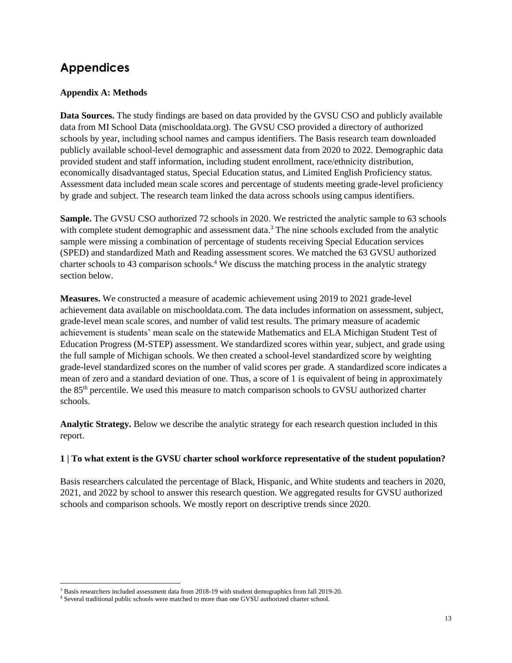# **Appendices**

 $\overline{\phantom{a}}$ 

## **Appendix A: Methods**

**Data Sources.** The study findings are based on data provided by the GVSU CSO and publicly available data from MI School Data (mischooldata.org). The GVSU CSO provided a directory of authorized schools by year, including school names and campus identifiers. The Basis research team downloaded publicly available school-level demographic and assessment data from 2020 to 2022. Demographic data provided student and staff information, including student enrollment, race/ethnicity distribution, economically disadvantaged status, Special Education status, and Limited English Proficiency status. Assessment data included mean scale scores and percentage of students meeting grade-level proficiency by grade and subject. The research team linked the data across schools using campus identifiers.

**Sample.** The GVSU CSO authorized 72 schools in 2020. We restricted the analytic sample to 63 schools with complete student demographic and assessment data.<sup>3</sup> The nine schools excluded from the analytic sample were missing a combination of percentage of students receiving Special Education services (SPED) and standardized Math and Reading assessment scores. We matched the 63 GVSU authorized charter schools to 43 comparison schools. <sup>4</sup> We discuss the matching process in the analytic strategy section below.

**Measures.** We constructed a measure of academic achievement using 2019 to 2021 grade-level achievement data available on mischooldata.com. The data includes information on assessment, subject, grade-level mean scale scores, and number of valid test results. The primary measure of academic achievement is students' mean scale on the statewide Mathematics and ELA Michigan Student Test of Education Progress (M-STEP) assessment. We standardized scores within year, subject, and grade using the full sample of Michigan schools. We then created a school-level standardized score by weighting grade-level standardized scores on the number of valid scores per grade. A standardized score indicates a mean of zero and a standard deviation of one. Thus, a score of 1 is equivalent of being in approximately the 85<sup>th</sup> percentile. We used this measure to match comparison schools to GVSU authorized charter schools.

**Analytic Strategy.** Below we describe the analytic strategy for each research question included in this report.

### **1 | To what extent is the GVSU charter school workforce representative of the student population?**

Basis researchers calculated the percentage of Black, Hispanic, and White students and teachers in 2020, 2021, and 2022 by school to answer this research question. We aggregated results for GVSU authorized schools and comparison schools. We mostly report on descriptive trends since 2020.

<sup>&</sup>lt;sup>3</sup> Basis researchers included assessment data from 2018-19 with student demographics from fall 2019-20.

<sup>4</sup> Several traditional public schools were matched to more than one GVSU authorized charter school.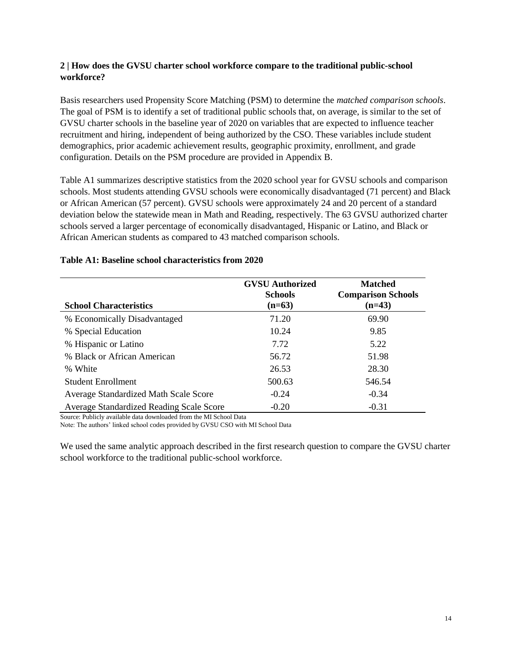### **2 | How does the GVSU charter school workforce compare to the traditional public-school workforce?**

Basis researchers used Propensity Score Matching (PSM) to determine the *matched comparison schools*. The goal of PSM is to identify a set of traditional public schools that, on average, is similar to the set of GVSU charter schools in the baseline year of 2020 on variables that are expected to influence teacher recruitment and hiring, independent of being authorized by the CSO. These variables include student demographics, prior academic achievement results, geographic proximity, enrollment, and grade configuration. Details on the PSM procedure are provided in Appendix B.

Table A1 summarizes descriptive statistics from the 2020 school year for GVSU schools and comparison schools. Most students attending GVSU schools were economically disadvantaged (71 percent) and Black or African American (57 percent). GVSU schools were approximately 24 and 20 percent of a standard deviation below the statewide mean in Math and Reading, respectively. The 63 GVSU authorized charter schools served a larger percentage of economically disadvantaged, Hispanic or Latino, and Black or African American students as compared to 43 matched comparison schools.

| <b>School Characteristics</b>                   | <b>GVSU</b> Authorized<br><b>Schools</b><br>$(n=63)$ | <b>Matched</b><br><b>Comparison Schools</b><br>$(n=43)$ |
|-------------------------------------------------|------------------------------------------------------|---------------------------------------------------------|
| % Economically Disadvantaged                    | 71.20                                                | 69.90                                                   |
| % Special Education                             | 10.24                                                | 9.85                                                    |
| % Hispanic or Latino                            | 7.72                                                 | 5.22                                                    |
| % Black or African American                     | 56.72                                                | 51.98                                                   |
| % White                                         | 26.53                                                | 28.30                                                   |
| <b>Student Enrollment</b>                       | 500.63                                               | 546.54                                                  |
| Average Standardized Math Scale Score           | $-0.24$                                              | $-0.34$                                                 |
| <b>Average Standardized Reading Scale Score</b> | $-0.20$                                              | $-0.31$                                                 |

### **Table A1: Baseline school characteristics from 2020**

Source: Publicly available data downloaded from the MI School Data

Note: The authors' linked school codes provided by GVSU CSO with MI School Data

We used the same analytic approach described in the first research question to compare the GVSU charter school workforce to the traditional public-school workforce.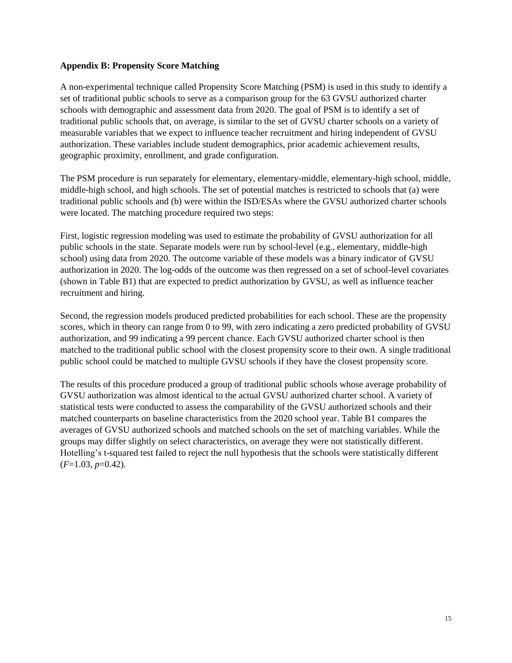#### **Appendix B: Propensity Score Matching**

A non-experimental technique called Propensity Score Matching (PSM) is used in this study to identify a set of traditional public schools to serve as a comparison group for the 63 GVSU authorized charter schools with demographic and assessment data from 2020. The goal of PSM is to identify a set of traditional public schools that, on average, is similar to the set of GVSU charter schools on a variety of measurable variables that we expect to influence teacher recruitment and hiring independent of GVSU authorization. These variables include student demographics, prior academic achievement results, geographic proximity, enrollment, and grade configuration.

The PSM procedure is run separately for elementary, elementary-middle, elementary-high school, middle, middle-high school, and high schools. The set of potential matches is restricted to schools that (a) were traditional public schools and (b) were within the ISD/ESAs where the GVSU authorized charter schools were located. The matching procedure required two steps:

First, logistic regression modeling was used to estimate the probability of GVSU authorization for all public schools in the state. Separate models were run by school-level (e.g., elementary, middle-high school) using data from 2020. The outcome variable of these models was a binary indicator of GVSU authorization in 2020. The log-odds of the outcome was then regressed on a set of school-level covariates (shown in Table B1) that are expected to predict authorization by GVSU, as well as influence teacher recruitment and hiring.

Second, the regression models produced predicted probabilities for each school. These are the propensity scores, which in theory can range from 0 to 99, with zero indicating a zero predicted probability of GVSU authorization, and 99 indicating a 99 percent chance. Each GVSU authorized charter school is then matched to the traditional public school with the closest propensity score to their own. A single traditional public school could be matched to multiple GVSU schools if they have the closest propensity score.

The results of this procedure produced a group of traditional public schools whose average probability of GVSU authorization was almost identical to the actual GVSU authorized charter school. A variety of statistical tests were conducted to assess the comparability of the GVSU authorized schools and their matched counterparts on baseline characteristics from the 2020 school year. Table B1 compares the averages of GVSU authorized schools and matched schools on the set of matching variables. While the groups may differ slightly on select characteristics, on average they were not statistically different. Hotelling's t-squared test failed to reject the null hypothesis that the schools were statistically different (*F*=1.03*, p*=0.42).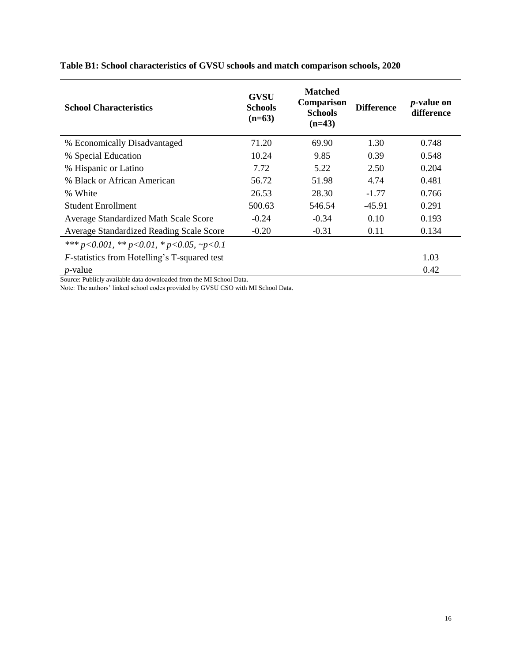| <b>School Characteristics</b>                                | <b>GVSU</b><br><b>Schools</b><br>$(n=63)$ | <b>Matched</b><br>Comparison<br><b>Schools</b><br>$(n=43)$ | <b>Difference</b> | <i>p</i> -value on<br>difference |
|--------------------------------------------------------------|-------------------------------------------|------------------------------------------------------------|-------------------|----------------------------------|
| % Economically Disadvantaged                                 | 71.20                                     | 69.90                                                      | 1.30              | 0.748                            |
| % Special Education                                          | 10.24                                     | 9.85                                                       | 0.39              | 0.548                            |
| % Hispanic or Latino                                         | 7.72                                      | 5.22                                                       | 2.50              | 0.204                            |
| % Black or African American                                  | 56.72                                     | 51.98                                                      | 4.74              | 0.481                            |
| % White                                                      | 26.53                                     | 28.30                                                      | $-1.77$           | 0.766                            |
| <b>Student Enrollment</b>                                    | 500.63                                    | 546.54                                                     | $-45.91$          | 0.291                            |
| Average Standardized Math Scale Score                        | $-0.24$                                   | $-0.34$                                                    | 0.10              | 0.193                            |
| Average Standardized Reading Scale Score                     | $-0.20$                                   | $-0.31$                                                    | 0.11              | 0.134                            |
| *** $p < 0.001$ , ** $p < 0.01$ , * $p < 0.05$ , ~ $p < 0.1$ |                                           |                                                            |                   |                                  |
| <i>F</i> -statistics from Hotelling's T-squared test         |                                           |                                                            |                   | 1.03                             |
| <i>p</i> -value                                              |                                           |                                                            |                   | 0.42                             |

# **Table B1: School characteristics of GVSU schools and match comparison schools, 2020**

Source: Publicly available data downloaded from the MI School Data.

Note: The authors' linked school codes provided by GVSU CSO with MI School Data.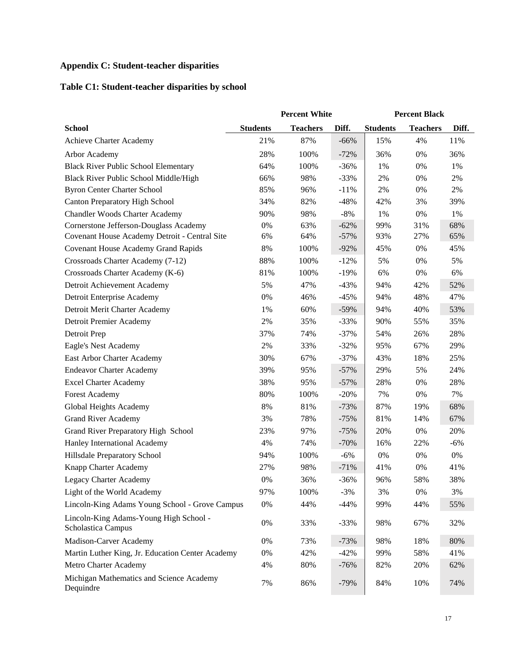# **Appendix C: Student-teacher disparities**

# **Table C1: Student-teacher disparities by school**

|                                                              | <b>Percent White</b> |                 | <b>Percent Black</b> |                 |                 |       |
|--------------------------------------------------------------|----------------------|-----------------|----------------------|-----------------|-----------------|-------|
| <b>School</b>                                                | <b>Students</b>      | <b>Teachers</b> | Diff.                | <b>Students</b> | <b>Teachers</b> | Diff. |
| Achieve Charter Academy                                      | 21%                  | 87%             | $-66%$               | 15%             | 4%              | 11%   |
| Arbor Academy                                                | 28%                  | 100%            | $-72%$               | 36%             | 0%              | 36%   |
| <b>Black River Public School Elementary</b>                  | 64%                  | 100%            | $-36%$               | 1%              | 0%              | 1%    |
| Black River Public School Middle/High                        | 66%                  | 98%             | $-33%$               | 2%              | 0%              | 2%    |
| <b>Byron Center Charter School</b>                           | 85%                  | 96%             | $-11%$               | 2%              | 0%              | $2\%$ |
| <b>Canton Preparatory High School</b>                        | 34%                  | 82%             | $-48%$               | 42%             | 3%              | 39%   |
| <b>Chandler Woods Charter Academy</b>                        | 90%                  | 98%             | $-8%$                | 1%              | 0%              | 1%    |
| Cornerstone Jefferson-Douglass Academy                       | 0%                   | 63%             | $-62%$               | 99%             | 31%             | 68%   |
| Covenant House Academy Detroit - Central Site                | 6%                   | 64%             | $-57%$               | 93%             | 27%             | 65%   |
| <b>Covenant House Academy Grand Rapids</b>                   | $8\%$                | 100%            | $-92%$               | 45%             | 0%              | 45%   |
| Crossroads Charter Academy (7-12)                            | 88%                  | 100%            | $-12%$               | 5%              | 0%              | 5%    |
| Crossroads Charter Academy (K-6)                             | 81%                  | 100%            | $-19%$               | 6%              | 0%              | 6%    |
| Detroit Achievement Academy                                  | 5%                   | 47%             | $-43%$               | 94%             | 42%             | 52%   |
| Detroit Enterprise Academy                                   | 0%                   | 46%             | $-45%$               | 94%             | 48%             | 47%   |
| Detroit Merit Charter Academy                                | 1%                   | 60%             | $-59%$               | 94%             | 40%             | 53%   |
| Detroit Premier Academy                                      | 2%                   | 35%             | $-33%$               | 90%             | 55%             | 35%   |
| Detroit Prep                                                 | 37%                  | 74%             | $-37%$               | 54%             | 26%             | 28%   |
| Eagle's Nest Academy                                         | 2%                   | 33%             | $-32%$               | 95%             | 67%             | 29%   |
| East Arbor Charter Academy                                   | 30%                  | 67%             | $-37%$               | 43%             | 18%             | 25%   |
| <b>Endeavor Charter Academy</b>                              | 39%                  | 95%             | $-57%$               | 29%             | 5%              | 24%   |
| <b>Excel Charter Academy</b>                                 | 38%                  | 95%             | $-57%$               | 28%             | 0%              | 28%   |
| <b>Forest Academy</b>                                        | 80%                  | 100%            | $-20%$               | 7%              | 0%              | 7%    |
| Global Heights Academy                                       | 8%                   | 81%             | $-73%$               | 87%             | 19%             | 68%   |
| <b>Grand River Academy</b>                                   | 3%                   | 78%             | $-75%$               | 81%             | 14%             | 67%   |
| Grand River Preparatory High School                          | 23%                  | 97%             | $-75%$               | 20%             | 0%              | 20%   |
| Hanley International Academy                                 | 4%                   | 74%             | $-70%$               | 16%             | 22%             | $-6%$ |
| Hillsdale Preparatory School                                 | 94%                  | 100%            | $-6%$                | 0%              | 0%              | $0\%$ |
| Knapp Charter Academy                                        | 27%                  | 98%             | $-71%$               | 41%             | 0%              | 41%   |
| Legacy Charter Academy                                       | 0%                   | 36%             | $-36%$               | 96%             | 58%             | 38%   |
| Light of the World Academy                                   | 97%                  | 100%            | $-3%$                | 3%              | 0%              | 3%    |
| Lincoln-King Adams Young School - Grove Campus               | $0\%$                | 44%             | $-44%$               | 99%             | 44%             | 55%   |
| Lincoln-King Adams-Young High School -<br>Scholastica Campus | $0\%$                | 33%             | $-33%$               | 98%             | 67%             | 32%   |
| Madison-Carver Academy                                       | 0%                   | 73%             | $-73%$               | 98%             | 18%             | 80%   |
| Martin Luther King, Jr. Education Center Academy             | $0\%$                | 42%             | $-42%$               | 99%             | 58%             | 41%   |
| Metro Charter Academy                                        | 4%                   | $80\%$          | $-76%$               | 82%             | 20%             | 62%   |
| Michigan Mathematics and Science Academy<br>Dequindre        | 7%                   | 86%             | $-79%$               | 84%             | 10%             | 74%   |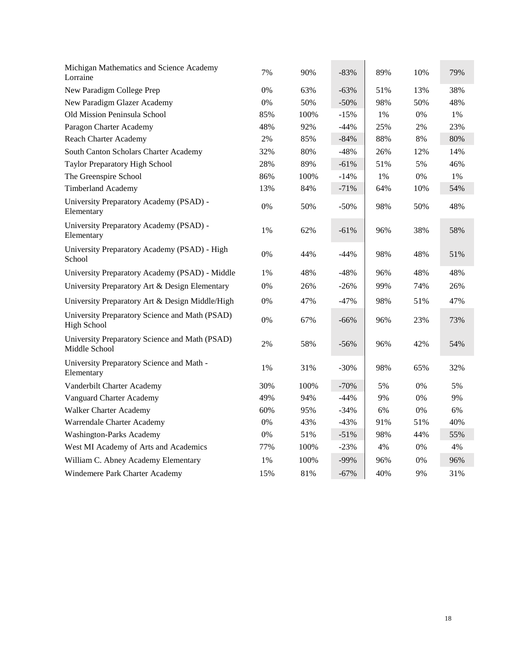| Michigan Mathematics and Science Academy<br>Lorraine                 | 7%    | 90%  | $-83%$  | 89% | 10%   | 79%   |
|----------------------------------------------------------------------|-------|------|---------|-----|-------|-------|
| New Paradigm College Prep                                            | 0%    | 63%  | $-63%$  | 51% | 13%   | 38%   |
| New Paradigm Glazer Academy                                          | 0%    | 50%  | $-50%$  | 98% | 50%   | 48%   |
| Old Mission Peninsula School                                         | 85%   | 100% | $-15%$  | 1%  | $0\%$ | $1\%$ |
| Paragon Charter Academy                                              | 48%   | 92%  | $-44%$  | 25% | 2%    | 23%   |
| Reach Charter Academy                                                | 2%    | 85%  | $-84%$  | 88% | 8%    | 80%   |
| South Canton Scholars Charter Academy                                | 32%   | 80%  | $-48%$  | 26% | 12%   | 14%   |
| Taylor Preparatory High School                                       | 28%   | 89%  | $-61%$  | 51% | 5%    | 46%   |
| The Greenspire School                                                | 86%   | 100% | $-14%$  | 1%  | 0%    | 1%    |
| <b>Timberland Academy</b>                                            | 13%   | 84%  | $-71%$  | 64% | 10%   | 54%   |
| University Preparatory Academy (PSAD) -<br>Elementary                | 0%    | 50%  | $-50%$  | 98% | 50%   | 48%   |
| University Preparatory Academy (PSAD) -<br>Elementary                | 1%    | 62%  | $-61%$  | 96% | 38%   | 58%   |
| University Preparatory Academy (PSAD) - High<br>School               | 0%    | 44%  | $-44%$  | 98% | 48%   | 51%   |
| University Preparatory Academy (PSAD) - Middle                       | 1%    | 48%  | -48%    | 96% | 48%   | 48%   |
| University Preparatory Art & Design Elementary                       | 0%    | 26%  | $-26%$  | 99% | 74%   | 26%   |
| University Preparatory Art & Design Middle/High                      | 0%    | 47%  | $-47\%$ | 98% | 51%   | 47%   |
| University Preparatory Science and Math (PSAD)<br><b>High School</b> | 0%    | 67%  | $-66%$  | 96% | 23%   | 73%   |
| University Preparatory Science and Math (PSAD)<br>Middle School      | 2%    | 58%  | $-56%$  | 96% | 42%   | 54%   |
| University Preparatory Science and Math -<br>Elementary              | 1%    | 31%  | $-30%$  | 98% | 65%   | 32%   |
| Vanderbilt Charter Academy                                           | 30%   | 100% | $-70%$  | 5%  | 0%    | 5%    |
| Vanguard Charter Academy                                             | 49%   | 94%  | $-44%$  | 9%  | 0%    | 9%    |
| <b>Walker Charter Academy</b>                                        | 60%   | 95%  | $-34%$  | 6%  | 0%    | 6%    |
| Warrendale Charter Academy                                           | 0%    | 43%  | $-43%$  | 91% | 51%   | 40%   |
| Washington-Parks Academy                                             | $0\%$ | 51%  | $-51%$  | 98% | 44%   | 55%   |
| West MI Academy of Arts and Academics                                | 77%   | 100% | $-23%$  | 4%  | 0%    | 4%    |
| William C. Abney Academy Elementary                                  | 1%    | 100% | $-99%$  | 96% | $0\%$ | 96%   |
| Windemere Park Charter Academy                                       | 15%   | 81%  | $-67%$  | 40% | 9%    | 31%   |